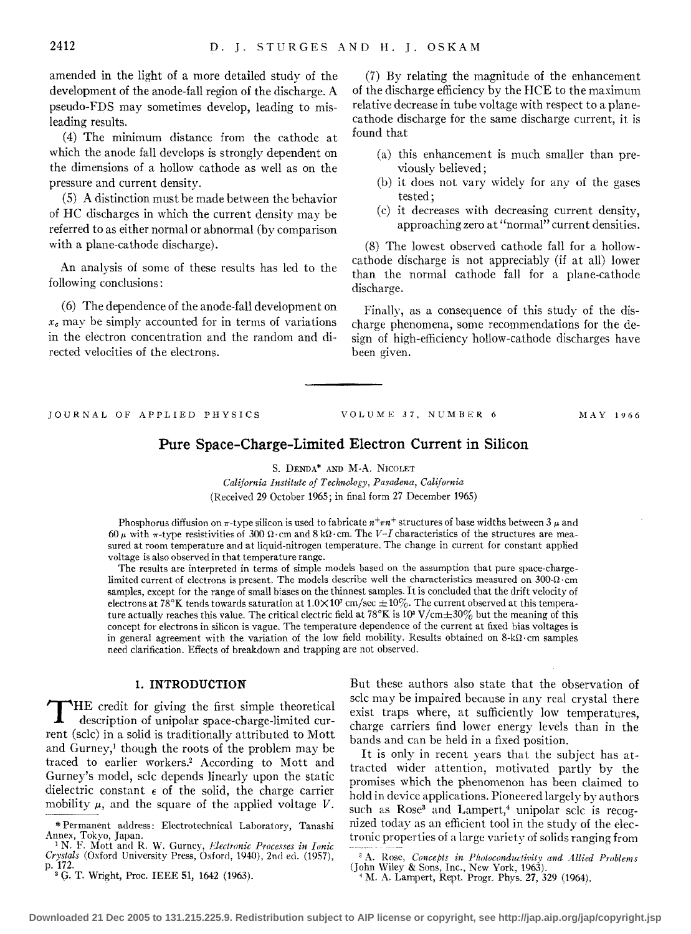amended in the light of a more detailed study of the development of the anode-fall region of the discharge. A pseudo-FDS may sometimes develop, leading to misleading results.

(4) The minimum distance from the cathode at which the anode fall develops is strongly dependent on the dimensions of a hollow cathode as well as on the pressure and current density.

(5) A distinction must be made between the behavior of HC discharges in which the current density may be referred to as either normal or abnormal (by comparison with a plane-cathode discharge).

An analysis of some of these results has led to the following conclusions:

(6) The dependence of the anode-fall development on  $x_c$  may be simply accounted for in terms of variations in the electron concentration and the random and directed velocities of the electrons.

(7) By relating the magnitude of the enhancement of the discharge efficiency by the HCE to the maximum relative decrease in tube voltage with respect to a planecathode discharge for the same discharge current, it is found that

- (a) this enhancement is much smaller than previouslv believed;
- $(b)$  it does not vary widely for any of the gases tested;
- (c) it decreases with decreasing current density, approaching zero at "normal" current densities.

(8) The lowest observed cathode fall for a hollowcathode discharge is not appreciably (if at all) lower than the normal cathode fall for a plane-cathode discharge.

Finally, as a consequence of this study of the discharge phenomena, some recommendations for the design of high-efficiency hollow-cathode discharges have been given.

JOURNAL OF APPLIED PHYSICS

VOLUME 37, NUMBER 6 MAY 1966

# **Pure Space-Charge-Limited Electron Current in Silicon**

S. DENDA\* AND M-A. NICOLET

*California Institute of Technology, Pasadena,* Cal~fornia (Received 29 October 1965; in final form 27 December 1965)

Phosphorus diffusion on  $\pi$ -type silicon is used to fabricate  $n+\pi n+$  structures of base widths between 3  $\mu$  and 60  $\mu$  with  $\pi$ -type resistivities of 300  $\Omega$ ·cm and 8 k $\Omega$ ·cm. The *V-I* characteristics of the structures are measured at room temperature and at liquid-nitrogen temperature. The change in current for constant applied voltage is also observed in that temperature range.

The results are interpreted in terms of simple models based on the assumption that pure space-chargelimited current of electrons is present. The models describe well the characteristics measured on  $300-\Omega$ ·cm samples, except for the range of small biases on the thinnest samples. It is concluded that the drift velocity of electrons at 78°K tends towards saturation at  $1.0 \times 10^7$  cm/sec  $\pm 10\%$ . The current observed at this temperature actually reaches this value. The critical electric field at  $78^{\circ}K$  is  $10^3$  V/cm $\pm 30\%$  but the meaning of this concept for electrons in silicon is vague. The temperature dependence of the current at fixed bias voltages is in general agreement with the variation of the low field mobility. Results obtained on  $8 \cdot k\Omega \cdot$ cm samples need clarification. Effects of breakdown and trapping are not observed.

### **1. INTRODUCTION**

T HE credit for giving the first simple theoretical description of unipolar space-charge-limited current (sclc) in a solid is traditionally attributed to Mott and Gurney,! though the roots of the problem may be traced to earlier workers.2 According to Mott and Gurney's model, sclc depends linearly upon the static dielectric constant  $\epsilon$  of the solid, the charge carrier mobility  $\mu$ , and the square of the applied voltage V.

But these authors also state that the observation of sclc may be impaired because in any real crystal there exist traps where, at sufficiently low temperatures, charge carriers find lower energy levels than in the bands and can be held in a fixed position.

It is only in recent years that the subject has attracted wider attention, motivated partly by the promises which the phenomenon has been claimed to hold in device applications. Pioneered largely by authors such as  $Rose^3$  and Lampert,<sup>4</sup> unipolar sclc is recognized today as an efficient tool in the study of the electronic properties of a large variety of solids ranging from

<sup>\*</sup>Permanent address: Electrotechnical Laboratory, Tanashi Annex, Tokyo, Japan.<br><sup>1</sup> N. F. Mott and R. W. Gurney, *Electronic Processes in Ionic* 

*Crystals* (Oxford University Press, Oxford, 1940), 2nd eel. (1957), p. 172.

<sup>&</sup>lt;sup>2</sup> G. T. Wright, Proc. IEEE 51, 1642 (1963).

<sup>&</sup>lt;sup>3</sup> A. Rose, *Concepts in Photoconductivity and Allied Problems* (John Wiley & Sons, Inc., New York, 1963).

<sup>4</sup> M. A. Lampert, Rept. Progr. Phys. 27, 329 (1964).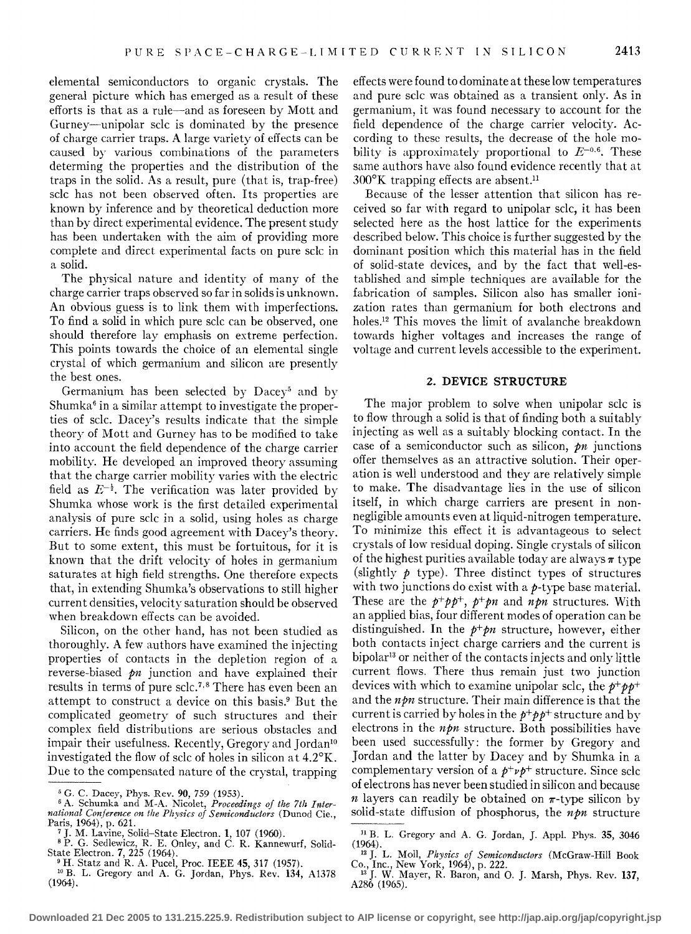elemental semiconductors to organic crystals. The general picture which has emerged as a result of these efforts is that as a rule-and as foreseen by Mott and Gurney-unipolar sclc is dominated by the presence of charge carrier traps. A large variety of effects can be caused by various combinations of the parameters determing the properties and the distribution of the traps in the solid. As a result, pure (that is, trap-free) sclc has not been observed often. Its properties are known by inference and by theoretical deduction more than by direct experimental evidence. The present study has been undertaken with the aim of providing more complete and direct experimental facts on pure sclc in a solid.

The physical nature and identity of many of the charge carrier traps observed so far in solids is unknown. An obvious guess is to link them with imperfections. To find a solid in which pure sclc can be observed, one should therefore lay emphasis on extreme perfection. This points towards the choice of an elemental single crystal of which germanium and silicon are presently the best ones.

Germanium has been selected by Dacey<sup>5</sup> and by Shumka $\epsilon$  in a similar attempt to investigate the properties of sclc. Dacey's results indicate that the simple theory of Mott and Gurney has to be modified to take into account the field dependence of the charge carrier mobility. He developed an improved theory assuming that the charge carrier mobility varies with the electric field as  $E^{-\frac{1}{2}}$ . The verification was later provided by Shumka whose work is the first detailed experimental analysis of pure sclc in a solid, using holes as charge carriers. He finds good agreement with Dacey's theory. But to some extent, this must be fortuitous, for it is known that the drift velocity of holes in germanium saturates at high field strengths. One therefore expects that, in extending Shumka's observations to still higher current densities, velocitv saturation should be observed when breakdown effects can be avoided.

Silicon, on the other hand, has not been studied as thoroughly. A few authors have examined the injecting properties of contacts in the depletion region of a reverse-biased pn junction and have explained their results in terms of pure sclc.7· 8 There has even been an attempt to construct a device on this basis.9 But the complicated geometry of such structures and their complex field distributions are serious obstacles and impair their usefulness. Recently, Gregory and Jordan<sup>10</sup> investigated the flow of sdc of holes in silicon at 4.2°K. Due to the compensated nature of the crystal, trapping

<sup>5</sup> G. C. Dacey, Phys. Rev. 90, 759 (1953).<br><sup>6</sup> A. Schumka and M-A. Nicolet, *Proceedings of the 7th Inter-*<br>*national Conference on the Physics of Semiconductors* (Dunod Cie., Paris, 1964), p. 621.<br>
<sup>7</sup> J. M. Lavine, Solid-State Electron. 1, 107 (1960).<br>
<sup>8</sup> P. G. Sedlewicz, R. E. Onley, and C. R. Kannewurf, Solideffects were found to dominate at these low temperatures and pure sclc was obtained as a transient only. As in germanium, it was found necessary to account for the field dependence of the charge carrier velocity. According to these results, the decrease of the hole mobility is approximately proportional to  $E^{-0.6}$ . These same authors have also found evidence recently that at 300°K trapping effects are absent.ll

Because of the lesser attention that silicon has received so far with regard to unipolar sclc, it has been selected here as the host lattice for the experiments described below. This choice is further suggested by the dominant position which this material has in the field of solid-state devices, and by the fact that well-established and simple techniques are available for the fabrication of samples. Silicon also has smaller ionization rates than germanium for both electrons and holes.<sup>12</sup> This moves the limit of avalanche breakdown towards higher voltages and increases the range of voltage and current levels accessible to the experiment.

#### 2\_ DEVICE STRUCTURE

The major problem to solve when unipolar sclc is to flow through a solid is that of finding both a suitably injecting as well as a suitably blocking contact. In the case of a semiconductor such as silicon,  $pn$  junctions offer themselves as an attractive solution. Their operation is well understood and they are relatively simple to make. The disadvantage lies in the use of silicon itself, in which charge carriers are present in nonnegligible amounts even at liquid-nitrogen temperature. To minimize this effect it is advantageous to select crystals of low residual doping. Single crystals of silicon of the highest purities available today are always  $\pi$  type (slightly  $\phi$  type). Three distinct types of structures with two junctions do exist with a  $p$ -type base material. These are the  $p^+pp^+$ ,  $p^+pn$  and  $npn$  structures. With an applied bias, four different modes of operation can be distinguished. In the  $p+p$ n structure, however, either both contacts inject charge carriers and the current is bipolar13 or neither of the contacts injects and only little current flows. There thus remain just two junction devices with which to examine unipolar sclc, the  $p^+p^+p^+$ and the  $n \rho n$  structure. Their main difference is that the current is carried by holes in the  $p^+p^+p^+$  structure and by electrons in the  $npn$  structure. Both possibilities have been used successfully: the former by Gregory and Jordan and the latter by Dacey and by Shumka in a complementary version of a  $p^+ \nu p^+$  structure. Since sclc of electrons has never been studied in silicon and because *n* layers can readily be obtained on  $\pi$ -type silicon by solid-state diffusion of phosphorus, the  $n \rho n$  structure

 $\begin{smallmatrix} 11 & B. & L. & Gregory and A. & G. & Jordan, J. & Appl. & Phys. & 35, 3046 \ (1964). & & & \end{smallmatrix}$ (1964). 12 J. L. Moll, *Physics of Semiconductors* (McGraw-Hill Book

State Electron. 7, 225 (1964).<br><sup>9</sup> H. Statz and R. A. Pucel, Proc. IEEE 45, 317 (1957).<br><sup>10</sup> B. L. Gregory and A. G. Jordan, Phys. Rev. 134, A1378

<sup>&</sup>lt;sup>10</sup> B. L. Gregory and A. G. Jordan, Phys. Rev. 134, A1378 (1964).

Co., Inc., New York, 1964), p. 222.<br><sup>13</sup> J. W. Mayer, R. Baron, and O. J. Marsh, Phys. Rev. 137,

A286 (1965).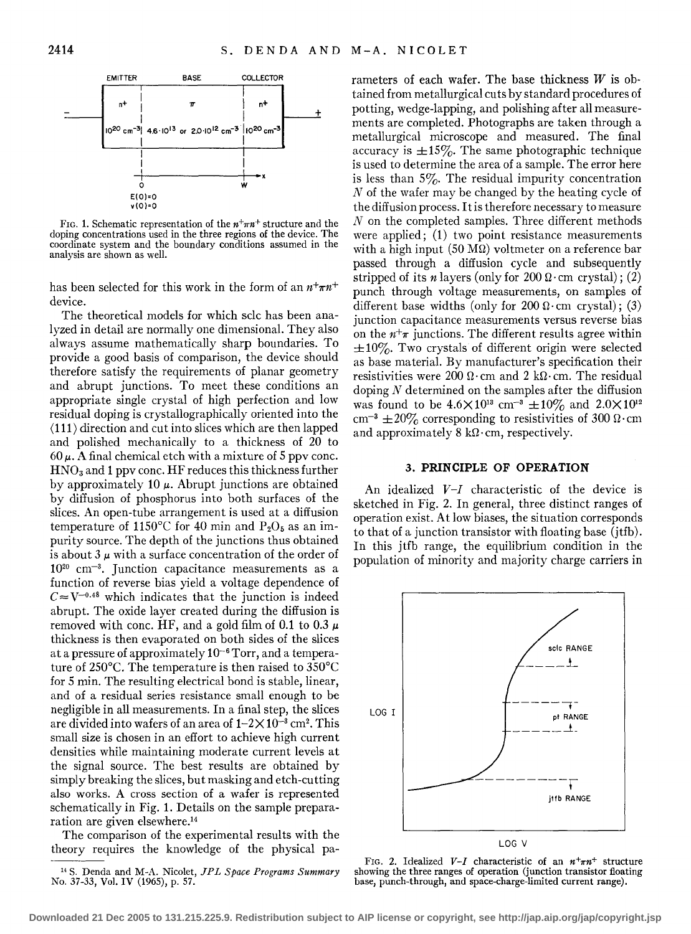

FIG. 1. Schematic representation of the  $n^+ \pi n^+$  structure and the doping concentrations used in the three regions of the device. The coordinate system and the boundary conditions assumed in the analysis are shown as well.

has been selected for this work in the form of an  $n+\pi n^+$ device.

The theoretical models for which sclc has been analyzed in detail are normally one dimensional. They also always assume mathematically sharp boundaries. To provide a good basis of comparison, the device should therefore satisfy the requirements of planar geometry and abrupt junctions. To meet these conditions an appropriate single crystal of high perfection and low residual doping is crystallographically oriented into the  $\langle 111 \rangle$  direction and cut into slices which are then lapped and polished mechanically to a thickness of 20 to  $60 \mu$ . A final chemical etch with a mixture of 5 ppv conc.  $HNO<sub>3</sub>$  and 1 ppv conc. HF reduces this thickness further by approximately 10  $\mu$ . Abrupt junctions are obtained by diffusion of phosphorus into both surfaces of the slices. An open-tube arrangement is used at a diffusion temperature of 1150°C for 40 min and  $P_2O_5$  as an impurity source. The depth of the junctions thus obtained is about  $3 \mu$  with a surface concentration of the order of 102 0 cm-3. Junction capacitance measurements as a function of reverse bias yield a voltage dependence of  $C \approx V^{-0.48}$  which indicates that the junction is indeed abrupt. The oxide layer created during the diffusion is removed with conc. HF, and a gold film of 0.1 to 0.3  $\mu$ thickness is then evaporated on both sides of the slices at a pressure of approximately 10-6 Torr, and a temperature of 250°C. The temperature is then raised to 350°C for 5 min. The resulting electrical bond is stable, linear, and of a residual series resistance small enough to be negligible in all measurements. In a final step, the slices are divided into wafers of an area of  $1-2\times10^{-3}$  cm<sup>2</sup>. This small size is chosen in an effort to achieve high current densities while maintaining moderate current levels at the signal source. The best results are obtained by simply breaking the slices, but masking and etch-cutting also works. A cross section of a wafer is represented schematically in Fig. 1. Details on the sample prepararation are given elsewhere.14

The comparison of the experimental results with the theory requires the knowledge of the physical parameters of each wafer. The base thickness *W* is obtained from metallurgical cuts by standard procedures of potting, wedge-lapping, and polishing after all measurements are completed. Photographs are taken through a metallurgical microscope and measured. The final accuracy is  $\pm 15\%$ . The same photographic technique is used to determine the area of a sample. The error here is less than  $5\%$ . The residual impurity concentration *N* of the wafer may be changed by the heating cycle of the diffusion process. It is therefore necessary to measure *N* on the completed samples. Three different methods were applied; (1) two point resistance measurements with a high input  $(50 \text{ M}\Omega)$  voltmeter on a reference bar passed through a diffusion cycle and subsequently stripped of its *n* layers (only for  $200 \Omega$  · cm crystal); (2) punch through voltage measurements, on samples of different base widths (only for  $200 \Omega \cdot \text{cm}$  crystal); (3) junction capacitance measurements versus reverse bias on the  $n+\pi$  junctions. The different results agree within  $\pm 10\%$ . Two crystals of different origin were selected as base material. By manufacturer's specification their resistivities were 200  $\Omega$ ·cm and 2 k $\Omega$ ·cm. The residual doping *N* determined on the samples after the diffusion was found to be  $4.6 \times 10^{13}$  cm<sup>-3</sup>  $\pm 10\%$  and  $2.0 \times 10^{12}$ cm<sup>-3</sup>  $\pm 20\%$  corresponding to resistivities of 300  $\Omega$ · cm and approximately  $8 \text{ k}\Omega \cdot \text{cm}$ , respectively.

#### 3. **PRINCIPLE OF OPERATION**

An idealized *V-I* characteristic of the device is sketched in Fig. 2. In general, three distinct ranges of operation exist. At low biases, the situation corresponds to that of a junction transistor with floating base (jtfb). In this jtfb range, the equilibrium condition in the population of minority and majority charge carriers in



FIG. 2. Idealized  $V-I$  characteristic of an  $n+m+$  structure showing the three ranges of operation (junction transistor floating base, punch-through, and space-charge-limited current range).

<sup>14</sup> S. Denda and M-A. Nicolet, *JPL Space Programs Summary*  No. 37-33, Vol. IV (1965), p. 57.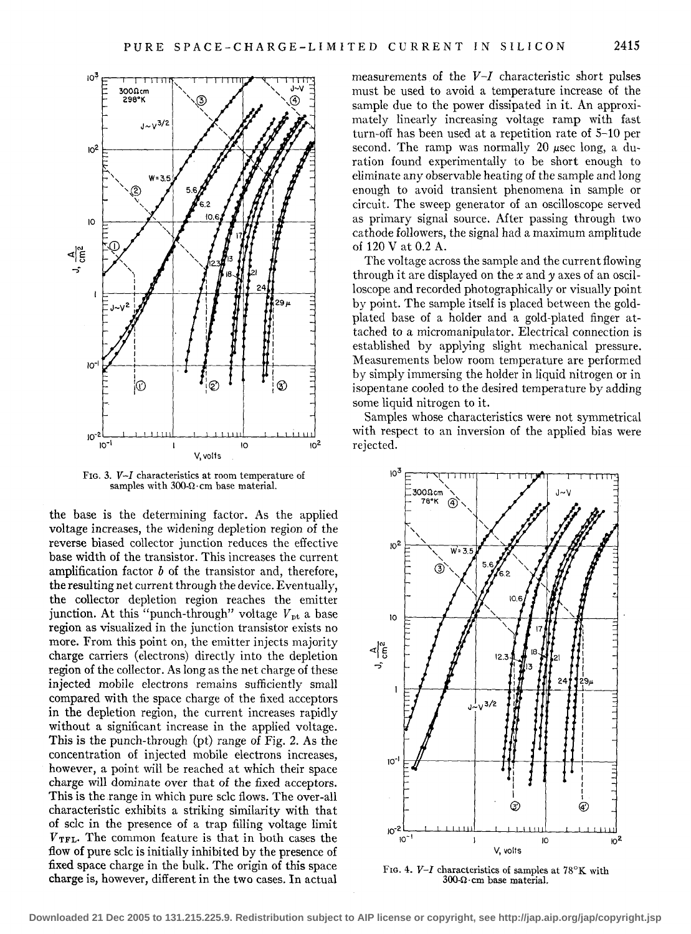

FIG. 3. *V-I* characteristics at room temperature of samples with  $300-\Omega$ ·cm base material.

the base is the determining factor. As the applied voltage increases, the widening depletion region of the reverse biased collector junction reduces the effective base width of the transistor. This increases the current amplification factor *b* of the transistor and, therefore, the resulting net current through the device. Eventually, the collector depletion region reaches the emitter junction. At this "punch-through" voltage  $V_{\rm pt}$  a base region as visualized in the junction transistor exists no more. From this point on, the emitter injects majority charge carriers (electrons) directly into the depletion region of the collector. As long as the net charge of these injected mobile electrons remains sufficiently small compared with the space charge of the fixed acceptors in the depletion region, the current increases rapidly without a significant increase in the applied voltage. This is the punch-through (pt) range of Fig. 2. As the concentration of injected mobile electrons increases, however, a point will be reached at which their space charge will dominate over that of the fixed acceptors. This is the range in which pure sclc flows. The over-all characteristic exhibits a striking similarity with that of sclc in the presence of a trap filling voltage limit  $V_{\text{TFL}}$ . The common feature is that in both cases the flow of pure sclc is initially inhibited by the presence of fixed space charge in the bulk. The origin of this space charge is, however, different in the two cases. In actual

measurements of the *V-I* characteristic short pulses must be used to avoid a temperature increase of the sample due to the power dissipated in it. An approximately linearly increasing voltage ramp with fast turn-off has been used at a repetition rate of 5-10 per second. The ramp was normally 20  $\mu$ sec long, a duration found experimentally to be short enough to eliminate any observable heating of the sample and long enough to avoid transient phenomena in sample or circuit. The sweep generator of an oscilloscope served as primary signal source. After passing through two cathode followers, the signal had a maximum amplitude of 120 Vat 0.2 A.

The voltage across the sample and the current flowing through it are displayed on the *x* andy axes of an oscilloscope and recorded photographically or visually point by point. The sample itself is placed between the goldplated base of a holder and a gold-plated finger attached to a micromanipulator. Electrical connection is established by applying slight mechanical pressure. Measurements below room temperature are performed by simply immersing the holder in liquid nitrogen or in isopentane cooled to the desired temperature by adding some liquid nitrogen to it.

Samples whose characteristics were not symmetrical with respect to an inversion of the applied bias were rejected.



FrG. 4. *V-I* characteristics of samples at 78°K with  $300 \Omega$ ·cm base material.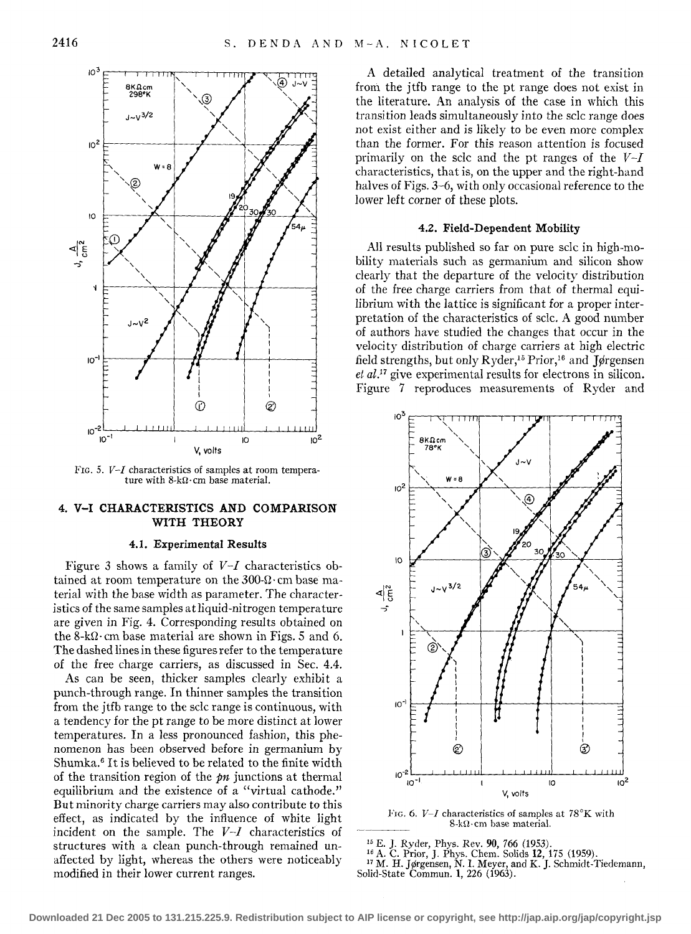

FIG. 5. *V-I* characteristics of samples at room temperature with 8-k $\Omega$ · cm base material.

## **4. V-I CHARACTERISTICS AND COMPARISON WITH THEORY**

#### **4.1. Experimental Results**

Figure 3 shows a family of *V-I* characteristics obtained at room temperature on the  $300 - \Omega \cdot$ cm base material with the base width as parameter. The characteristics of the same samples at liquid-nitrogen temperature are given in Fig. 4. Corresponding results obtained on the 8-k $\Omega$  · cm base material are shown in Figs. 5 and 6. The dashed lines in these figures refer to the temperature of the free charge carriers, as discussed in Sec. 4.4.

As can be seen, thicker samples clearly exhibit a punch-through range. In thinner samples the transition from the jtfb range to the sclc range is continuous, with a tendency for the pt range to be more distinct at lower temperatures. In a less pronounced fashion, this phenomenon has been observed before in germanium by Shumka.<sup>6</sup> It is believed to be related to the finite width of the transition region of the  $pn$  junctions at thermal equilibrium and the existence of a "virtual cathode." But minority charge carriers may also contribute to this effect, as indicated by the influence of white light incident on the sample. The *V-I* characteristics of structures with a clean punch-through remained unaffected by light, whereas the others were noticeably modified in their lower current ranges.

A detailed analytical treatment of the transition from the jtfb range to the pt range does not exist in the literature. An analysis of the case in which this transition leads simultaneously into the sclc range does not exist either and is likely to be even more complex than the former. For this reason attention is focused primarily on the sclc and the pt ranges of the *V-I*  characteristics, that is, on the upper and the right-hand halves of Figs. 3-6, with only occasional reference to the lower left corner of these plots.

### 4.2. **Field-Dependent Mobility**

All results published so far on pure sclc in high-mobility materials such as germanium and silicon show clearly that the departure of the velocity distribution of the free charge carriers from that of thermal equilibrium with the lattice is significant for a proper interpretation of the characteristics of sclc. A good number of authors have studied the changes that occur in the velocity distribution of charge carriers at high electric field strengths, but only Ryder,<sup>15</sup> Prior,<sup>16</sup> and Jørgensen *et al.*<sup>17</sup> give experimental results for electrons in silicon. Figure 7 reproduces measurements of Ryder and



FIG. 6. *V-I* characteristics of samples at 78°K with  $8-k\Omega$ ·cm base material.

<sup>15</sup> E. J. Ryder, Phys. Rev. **90**, 766 (1953).<br><sup>16</sup> A. C. Prior, J. Phys. Chem. Solids **12**, 175 (1959).<br><sup>17</sup> M. H. Jørgensen, N. I. Meyer, and K. J. Schmidt-Tiedemann, Solid-State Commun. **1,** 226 (1963).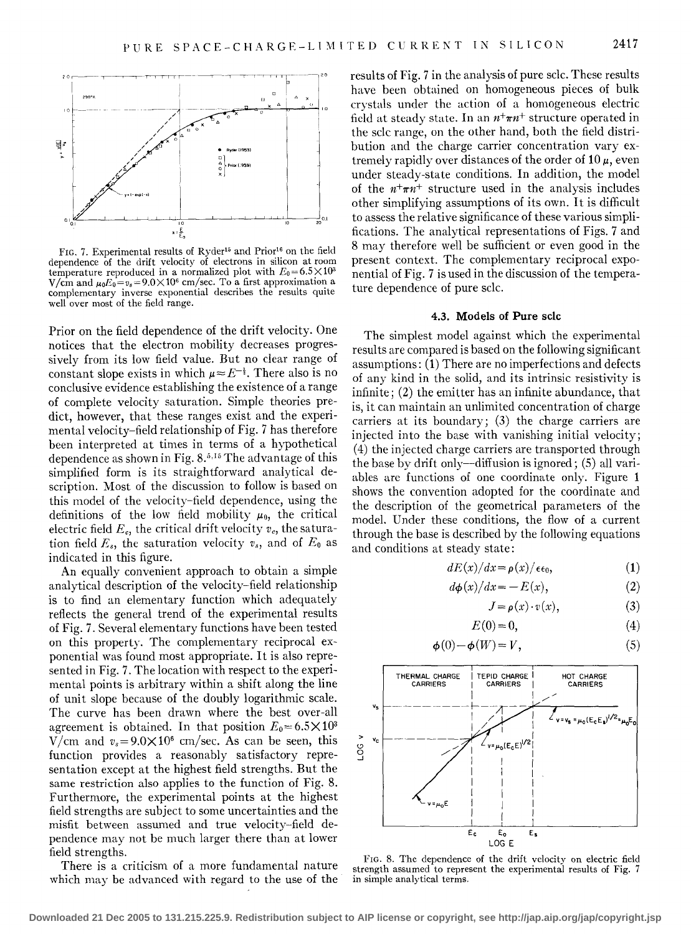

FIG. 7. Experimental results of Ryder<sup>15</sup> and Prior<sup>16</sup> on the field dependence of the drift velocity of electrons in silicon at room temperature reproduced in a normalized plot with  $E_0 = 6.5 \times 10^3$  $V/cm$  and  $\mu_0 E_0 = v_s = 9.0 \times 10^6$  cm/sec. To a first approximation a complementary inverse exponential describes the results quite well over most of the field range.

Prior on the field dependence of the drift velocity. One notices that the electron mobility decreases progressively from its low field value. But no clear range of constant slope exists in which  $\mu \approx E^{-\frac{1}{2}}$ . There also is no conclusive evidence establishing the existence of a range of complete velocity saturation. Simple theories predict, however, that these ranges exist and the experimental velocity-field relationship of Fig. 7 has therefore been interpreted at times in terms of a hypothetical dependence as shown in Fig. 8.<sup>5,15</sup> The advantage of this simplified form is its straightforward analytical description. Most of the discussion to follow is based on this model of the velocity-field dependence, using the definitions of the low field mobility  $\mu_0$ , the critical electric field  $E_c$ , the critical drift velocity  $v_c$ , the saturation field  $E_s$ , the saturation velocity  $v_s$ , and of  $E_0$  as indicated in this figure.

An equally convenient approach to obtain a simple analytical description of the velocity-field relationship is to find an elementary function which adequately reflects the general trend of the experimental results of Fig. 7. Several elementary functions have been tested on this property. The complementary reciprocal exponential was found most appropriate. It is also represented in Fig. 7. The location with respect to the experimental points is arbitrary within a shift along the line of unit slope because of the doubly logarithmic scale. The curve has been drawn where the best over-all agreement is obtained. In that position  $E_0=6.5\times10^3$ V/cm and  $v_s = 9.0 \times 10^6$  cm/sec. As can be seen, this function provides a reasonably satisfactory representation except at the highest field strengths. But the same restriction also applies to the function of Fig. 8. Furthermore, the experimental points at the highest field strengths are subject to some uncertainties and the misfit between assumed and true velocity-field dependence may not be much larger there than at lower field strengths.

There is a criticism of a more fundamental nature which may be advanced with regard to the use of the results of Fig. 7 in the analysis of pure sclc. These results have been obtained on homogeneous pieces of bulk crystals under the action of a homogeneous electric field at steady state. In an  $n^+ \pi n^+$  structure operated in the sclc range, on the other hand, both the field distribution and the charge carrier concentration vary extremely rapidly over distances of the order of  $10 \mu$ , even under steady-state conditions. In addition, the model of the  $n+\pi n+$  structure used in the analysis includes other simplifying assumptions of its own. It is difficult to assess the relative significance of these various simplifications. The analytical representations of Figs. 7 and 8 may therefore well be sufficient or even good in the present context. The complementary reciprocal exponential of Fig. 7 is used in the discussion of the temperature dependence of pure sclc.

### **4.3. Models of Pure sclc**

The simplest model against which the experimental results are compared is based on the following significant assumptions: **(1)** There are no imperfections and defects of any kind in the solid, and its intrinsic resistivity is infinite; (2) the emitter has an infinite abundance, that is, it can maintain an unlimited concentration of charge carriers at its boundary;  $(3)$  the charge carriers are injected into the base with vanishing initial velocity; (4) the injected charge carriers are transported through the base by drift only—diffusion is ignored; (5) all variables are functions of one coordinate only. Figure 1 shows the convention adopted for the coordinate and the description of the geometrical parameters of the model. Under these conditions, the flow of a current through the base is described by the following equations and conditions at steady state:

$$
dE(x)/dx = \rho(x)/\epsilon\epsilon_0, \qquad (1)
$$

$$
d\phi(x)/dx = -E(x),\tag{2}
$$

$$
J = \rho(x) \cdot v(x), \tag{3}
$$

$$
E(0) = 0,\t\t(4)
$$

$$
\phi(0) - \phi(W) = V,\tag{5}
$$



FIG. 8. The dependence of the drift velocity on electric field strength assumed to represent the experimental results of Fig. 7 in simple analytical terms.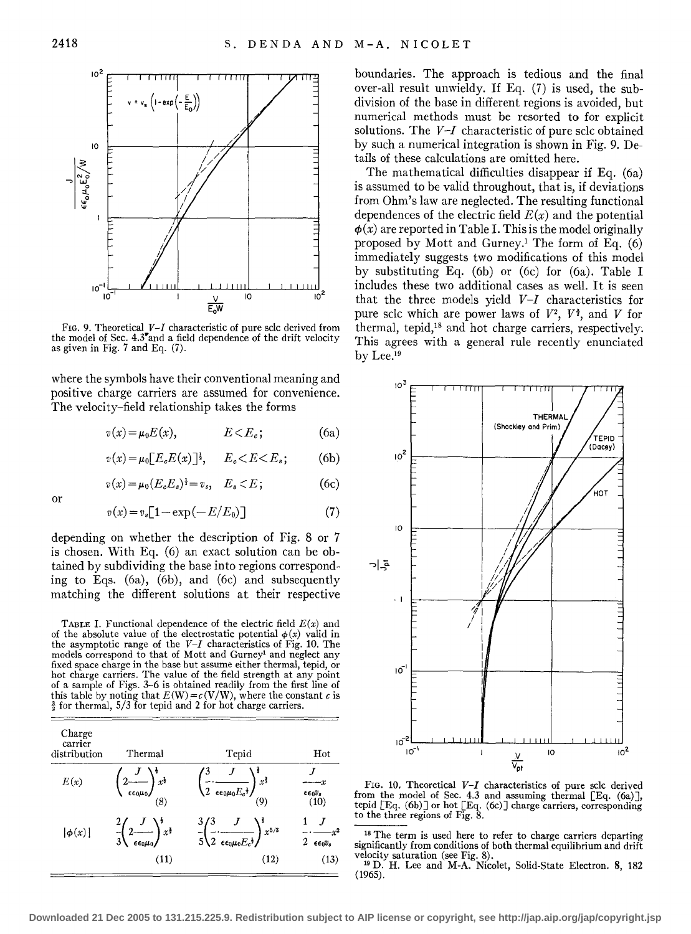

FIG. 9. Theoretical *V-I* characteristic of pure sclc derived from the model of Sec. 4.3~and a field dependence of the drift velocity as given in Fig. 7 and Eq. (7).

where the symbols have their conventional meaning and positive charge carriers are assumed for convenience. The velocity-field relationship takes the forms

$$
v(x) = \mu_0 E(x), \qquad E < E_c; \tag{6a}
$$

$$
v(x) = \mu_0 \big[ E_c E(x) \big]^\frac{1}{2}, \qquad E_c < E < E_s; \tag{6b}
$$

$$
v(x) = \mu_0 (E_c E_s)^{\frac{1}{2}} = v_s, \quad E_s < E \tag{6c}
$$

$$
\quad \text{or} \quad
$$

$$
v(x) = v_s \big[ 1 - \exp(-E/E_0) \big] \tag{7}
$$

depending on whether the description of Fig. 8 or 7 is chosen. With Eq. (6) an exact solution can be obtained by subdividing the base into regions corresponding to Eqs. (6a), (6b), and (6c) and subsequently matching the different solutions at their respective

TABLE I. Functional dependence of the electric field  $E(x)$  and of the absolute value of the electrostatic potential  $\phi(x)$  valid in the asymptotic range of the *V-I* characteristics of Fig. 10. The models correspond to that of Mott and Gurney<sup>1</sup> and neglect any fixed space charge in the base but assume either thermal, tepid, or hot charge carriers. The value of the field strength at any point of a sample of Figs. 3--6 is obtained readily from the first line of this table by noting that  $E(W) = c(V/W)$ , where the constant c is  $\frac{3}{2}$  for thermal, 5/3 for tepid and 2 for hot charge carriers.

| Charge<br>carrier<br>distribution | Thermal                                                                     | Tepid                                                                                                          | Hot<br>$\epsilon \epsilon_0 v_s$<br>(10) |  |
|-----------------------------------|-----------------------------------------------------------------------------|----------------------------------------------------------------------------------------------------------------|------------------------------------------|--|
| E(x)                              | $\frac{1}{x^{\frac{1}{2}}}$<br>$2$ ——<br>$\epsilon \epsilon_0 \mu_0$<br>(8) | $\frac{1}{x^{\frac{2}{3}}}$<br>$\sqrt{2 \epsilon \epsilon_0 \mu_0 E_c^4}$<br>(9)                               |                                          |  |
| $ \phi(x) $                       | $\left( \frac{x}{2} \right) x^{\frac{1}{2}}$<br>EE0MO                       | $\int_{-5}^{3} \left(\frac{3}{2} \cdot \frac{J}{\epsilon \epsilon_0 \mu_0 E_c^{\frac{1}{2}}}\right)^5 x^{5/3}$ | 2<br>$\epsilon \epsilon_0 v_s$           |  |
|                                   | (11)                                                                        | (12)                                                                                                           | (13)                                     |  |

boundaries. The approach is tedious and the final over-all result unwieldy. If Eq. (7) is used, the subdivision of the base in different regions is avoided, but numerical methods must be resorted to for explicit solutions. The *V-I* characteristic of pure sclc obtained by such a numerical integration is shown in Fig. 9. Details of these calculations are omitted here.

The mathematical difficulties disappear if Eq. (6a) is assumed to be valid throughout, that is, if deviations from Ohm's law are neglected. The resulting functional dependences of the electric field  $E(x)$  and the potential  $\phi(x)$  are reported in Table I. This is the model originally proposed by Mott and Gurney.<sup>1</sup> The form of Eq.  $(6)$ immediately suggests two modifications of this model by substituting Eq. (6b) or (6c) for (6a). Table I includes these two additional cases as well. It is seen that the three models yield *V-I* characteristics for pure sclc which are power laws of  $V^2$ ,  $V^{\frac{3}{2}}$ , and V for thermal, tepid,<sup>18</sup> and hot charge carriers, respectively. This agrees with a general rule recently enunciated by Lee.<sup>19</sup>



FIG. 10. Theoretical *V-I* characteristics of pure sclc derived from the model of Sec. 4.3 and assuming thermal [Eq. (6a)], tepid [Eq. (6b)] or hot [Eq. (6c)] charge carriers, corresponding to the three regions of Fig. 8.

<sup>18</sup> The term is used here to refer to charge carriers departing significantly from conditions of both thermal equilibrium and drift

<sup>19</sup> D. H. Lee and M-A. Nicolet, Solid-State Electron. 8, 182 (1965).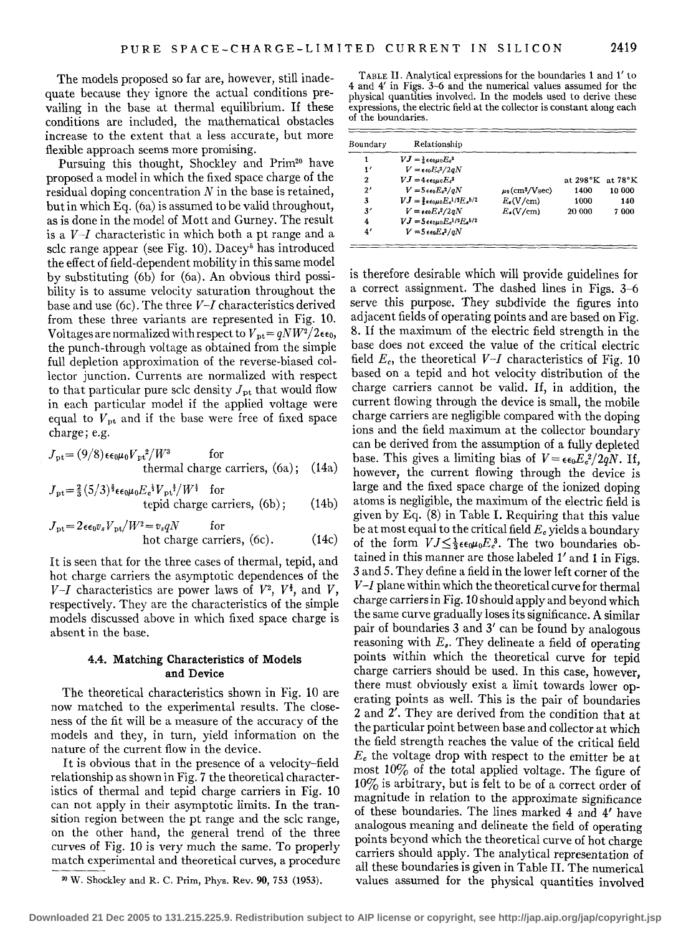The models proposed so far are, however, still inadequate because they ignore the actual conditions prevailing in the base at thermal equilibrium. If these conditions are included, the mathematical obstacles increase to the extent that a less accurate, but more flexible approach seems more promising.

Pursuing this thought, Shockley and Prim<sup>20</sup> have proposed a model in which the fixed space charge of the residual doping concentration *N* in the base is retained, but in which Eq. (6a) is assumed to be valid throughout, as is done in the model of Matt and Gurney. The result is a  $V-I$  characteristic in which both a pt range and a sclc range appear (see Fig. 10). Dacey<sup>5</sup> has introduced the effect of field-dependent mobility in this same model by substituting (6b) for (6a). An obvious third possibility is to assume velocity saturation throughout the base and use (6c). The three *V-1* characteristics derived from these three variants are represented in Fig. 10. Voltages are normalized with respect to  $V_{\text{pt}} = qNW^2/2\epsilon\epsilon_0$ , the punch-through voltage as obtained from the simple full depletion approximation of the reverse-biased collector junction. Currents are normalized with respect to that particular pure sclc density  $J_{\rm pt}$  that would flow in each particular model if the applied voltage were equal to  $V_{\text{pt}}$  and if the base were free of fixed space charge; e.g.

$$
J_{\rm pt} = (9/8) \epsilon \epsilon_0 \mu_0 V_{\rm pt}^2 / W^3
$$
 for  
thermal charge carriers, (6a); (14a)

$$
J_{\rm pt} = \frac{2}{3} (5/3)^{\frac{3}{2}} \epsilon \epsilon_0 \mu_0 E_c^{\frac{1}{2}} V_{\rm pt}^{\frac{1}{2}} / W^{\frac{5}{2}}
$$
 for  
tepid charge carriers, (6b); (14b)

$$
J_{\rm pt} = 2\epsilon \epsilon_0 v_s V_{\rm pt}/W^2 = v_s qN
$$
 for  
hot charge carriers, (6c). (14c)

It is seen that for the three cases of thermal, tepid, and hot charge carriers the asymptotic dependences of the  $V-I$  characteristics are power laws of  $V^2$ ,  $V^{\frac{3}{2}}$ , and V, respectively. They are the characteristics of the simple models discussed above in which fixed space charge is absent in the base.

#### 4.4. Matching Characteristics of Models and Device

The theoretical characteristics shown in Fig. 10 are now matched to the experimental results. The closeness of the fit will be a measure of the accuracy of the models and they, in turn, yield information on the nature of the current flow in the device.

It is obvious that in the presence of a velocity-field relationship as shown in Fig. 7 the theoretical characteristics of thermal and tepid charge carriers in Fig. 10 can not apply in their asymptotic limits. In the transition region between the pt range and the sclc range, on the other hand, the general trend of the three curves of Fig. 10 is very much the same. To properly match experimental and theoretical curves, a procedure

TABLE II. Analytical expressions for the boundaries 1 and 1' to 4 and 4' in Figs. 3-6 and the numerical values assumed for the physical quantities involved. In the models used to derive these expressions, the electric field at the collector is constant along each of the boundaries.

| Boundary      | Relationship                                                     |                                 |                                  |        |
|---------------|------------------------------------------------------------------|---------------------------------|----------------------------------|--------|
|               | $VJ = \frac{1}{2} \epsilon \epsilon_0 \mu_0 E_c^3$               |                                 |                                  |        |
| $\mathbf{1}'$ | $V = \epsilon \epsilon_0 E_c^2 / 2 q N$                          |                                 |                                  |        |
| 2             | $VJ = 4\epsilon\epsilon_0\mu_0 E_c^3$                            |                                 | at $298^\circ K$ at $78^\circ K$ |        |
| 2'            | $V = 5\epsilon_0 E_c^2/aN$                                       | $\mu_0$ (cm <sup>2</sup> /Vsec) | 1400                             | 10 000 |
| 3             | $VJ = \frac{2}{3} \epsilon \epsilon_0 \mu_0 E_c^{1/2} E_s^{5/2}$ | $E_{\rm c}(V/cm)$               | 1000                             | 140    |
| 3'            | $V = \epsilon \epsilon_0 E_s^2/2gN$                              | $E_{\bullet}(V/cm)$             | 20 000                           | 7000   |
| 4             | $VJ = 5\epsilon\epsilon_0\mu_0E_c^{1/2}E_a^{5/2}$                |                                 |                                  |        |
| $\ddotmark$   | $V = 5 \epsilon \epsilon_0 E r^2 / qN$                           |                                 |                                  |        |

is therefore desirable which will provide guidelines for a correct assignment. The dashed lines in Figs. 3-6 serve this purpose. They subdivide the figures into adjacent fields of operating points and are based on Fig. 8. If the maximum of the electric field strength in the base does not exceed the value of the critical electric field  $E_c$ , the theoretical  $V-I$  characteristics of Fig. 10 based on a tepid and hot velocity distribution of the charge carriers cannot be valid. If, in addition, the current flowing through the device is small, the mobile charge carriers are negligible compared with the doping ions and the field maximum at the collector boundary can be derived from the assumption of a fully depleted base. This gives a limiting bias of  $V = \epsilon_0 E_c^2 / 2qN$ . If, however, the current flowing through the device is large and the fixed space charge of the ionized doping atoms is negligible, the maximum of the electric field is given by Eq. (8) in Table I. Requiring that this value be at most equal to the critical field *Ec* yields a boundary of the form  $VI \leq \frac{1}{3} \epsilon \epsilon_0 \mu_0 E_c^3$ . The two boundaries obtained in this manner are those labeled 1' and 1 in Figs. 3 and 5. They define a field in the lower left corner of the *V -1* plane within which the theoretical curve for thermal charge carriers in Fig.10 should apply and beyond which the same curve gradually loses its significance. A similar pair of boundaries 3 and 3' can be found by analogous reasoning with  $E_s$ . They delineate a field of operating points within which the theoretical curve for tepid charge carriers should be used. In this case, however, there must obviously exist a limit towards lower operating points as well. This is the pair of boundaries 2 and 2'. They are derived from the condition that at the particular point between base and collector at which the field strength reaches the value of the critical field *Ec* the voltage drop with respect to the emitter be at most 10% of the total applied voltage. The figure of 10% is arbitrary, but is felt to be of a correct order of magnitude in relation to the approximate significance of these boundaries. The lines marked 4 and 4' have analogous meaning and delineate the field of operating points beyond which the theoretical curve of hot charge carriers should apply. The analytical representation of all these boundaries is given in Table II. The numerical values assumed for the physical quantities involved

<sup>00</sup> W. Shockley and R. C. Prim, Phys. Rev. 90, 753 (1953).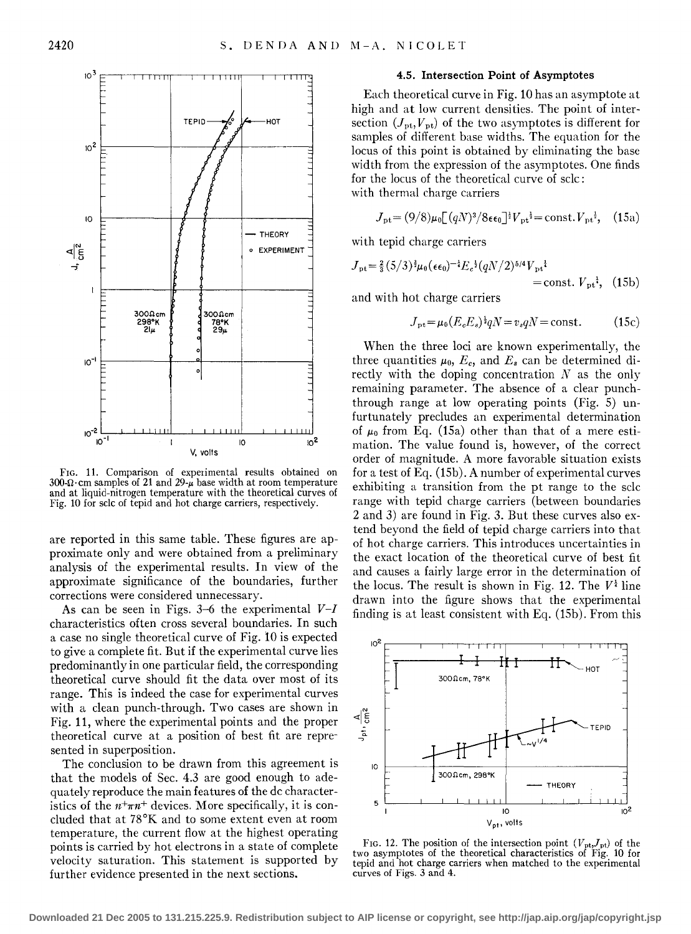

FIG. 11. Comparison of experimental results obtained on  $300\Omega$ ·cm samples of 21 and 29- $\mu$  base width at room temperature and at liquid-nitrogen temperature with the theoretical curves of Fig. 10 for sclc of tepid and hot charge carriers, respectively.

are reported in this same table. These figures are approximate only and were obtained from a preliminary analysis of the experimental results. In view of the approximate significance of the boundaries, further corrections were considered unnecessary.

As can be seen in Figs. 3-6 the experimental *V-1*  characteristics often cross several boundaries. In such a case no single theoretical curve of Fig. 10 is expected to give a complete fit. But if the experimental curve lies predominantly in one particular field, the corresponding theoretical curve should fit the data over most of its range. This is indeed the case for experimental curves with a clean punch-through. Two cases are shown in Fig. **11,** where the experimental points and the proper theoretical curve at a position of best fit are represented in superposition.

The conclusion to be drawn from this agreement is that the models of Sec. 4.3 are good enough to adequately reproduce the main features of the de characteristics of the  $n^+ \pi n^+$  devices. More specifically, it is concluded that at 78°K and to some extent even at room temperature, the current flow at the highest operating points is carried by hot electrons in a state of complete velocity saturation. This statement is supported by further evidence presented in the next sections.

### **4.5. Intersection Point of Asymptotes**

Each theoretical curve in Fig. 10 has an asymptote at high and at low current densities. The point of intersection  $(J_{\text{pt}}, V_{\text{pt}})$  of the two asymptotes is different for samples of different base widths. The equation for the locus of this point is obtained by eliminating the base width from the expression of the asymptotes. One finds for the locus of the theoretical curve of sclc : with thermal charge carriers

$$
J_{\rm pt} = (9/8)\mu_0 \left[ (qN)^3 / 8\epsilon\epsilon_0 \right]^{1/2} V_{\rm pt}^{1/2} = \text{const.} V_{\rm pt}^{1/2}, \quad (15a)
$$

with tepid charge carriers

$$
J_{\rm pt} = \frac{2}{3} (5/3)^{\frac{3}{2}} \mu_0 (\epsilon \epsilon_0)^{-\frac{1}{4}} E_c^{\frac{1}{2}} (qN/2)^{5/4} V_{\rm pt}^{\frac{1}{4}} = \text{const.} V_{\rm pt}^{\frac{1}{4}}, \quad (15b)
$$

and with hot charge carriers

$$
J_{\rm pt} = \mu_0 (E_e E_s)^{\frac{1}{2}} qN = v_s qN = \text{const.}
$$
 (15c)

When the three loci are known experimentally, the three quantities  $\mu_0$ ,  $E_c$ , and  $E_s$  can be determined directly with the doping concentration  $N$  as the only remaining parameter. The absence of a clear punchthrough range at low operating points (Fig. 5) unfurtunately precludes an experimental determination of  $\mu_0$  from Eq. (15a) other than that of a mere estimation. The value found is, however, of the correct order of magnitude. A more favorable situation exists for a test of Eq. (15b). A number of experimental curves exhibiting a transition from the pt range to the sclc range with tepid charge carriers (between boundaries 2 and 3) are found in Fig. 3. But these curves also extend beyond the field of tepid charge carriers into that of hot charge carriers. This introduces uncertainties in the exact location of the theoretical curve of best fit and causes a fairly large error in the determination of the locus. The result is shown in Fig. 12. The  $V^{\frac{1}{4}}$  line drawn into the figure shows that the experimental finding is at least consistent with Eq. (1Sb). From this



FIG. 12. The position of the intersection point  $(V_{pt}, J_{pt})$  of the two asymptotes of the theoretical characteristics of Fig. 10 for tepid and hot charge carriers when matched to the experimental curves of Figs. 3 and 4.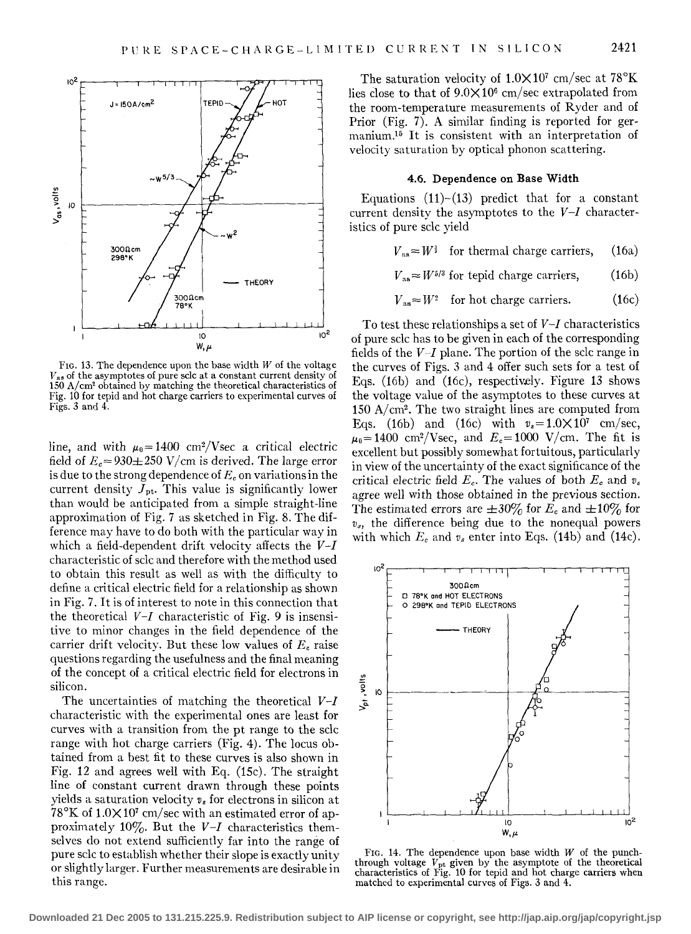

FIG. 13. The dependence upon the base width *W* of the voltage  $V_{as}$  of the asymptotes of pure sclc at a constant current density of 150 A/cm2 obtained by matching the theoretical characteristics of Fig. 10 for tepid and hot charge carriers to experimental curves of Figs. 3 and 4.

line, and with  $\mu_0 = 1400 \text{ cm}^2/\text{Vsec}$  a critical electric field of  $E_c = 930 \pm 250$  V/cm is derived. The large error is due to the strong dependence of  $E<sub>c</sub>$  on variations in the current density  $J_{\text{pt}}$ . This value is significantly lower than would be anticipated from a simple straight-line approximation of Fig. 7 as sketched in Fig. 8. The difference may have to do both with the particular way in which a field-dependent drift velocity affects the *V-I*  characteristic of sclc and therefore with the method used to obtain this result as well as with the difficulty to define a critical electric field for a relationship as shown in Fig. 7. It is of interest to note in this connection that the theoretical *V-I* characteristic of Fig. *9* is insensitive to minor changes in the field dependence of the carrier drift velocity. But these low values of *Ec* raise questions regarding the usefulness and the final meaning of the concept of a critical electric field for electrons in silicon.

The uncertainties of matching the theoretical *V-1*  characteristic with the experimental ones are least for curves with a transition from the pt range to the sclc range with hot charge carriers (Fig. 4). The locus obtained from a best fit to these curves is also shown in Fig. 12 and agrees well with Eq. (15c). The straight line of constant current drawn through these points yields a saturation velocity  $v_s$  for electrons in silicon at  $78^{\circ}$ K of 1.0 $\times$ 10<sup>7</sup> cm/sec with an estimated error of approximately 10%. But the *V-I* characteristics themselves do not extend sufficiently far into the range of pure sclc to establish whether their slope is exactly unity or slightly larger. Further measurements are desirable in this range.

The saturation velocity of  $1.0 \times 10^7$  cm/sec at  $78^{\circ}$ K lies close to that of  $9.0 \times 10^6$  cm/sec extrapolated from the room-temperature measurements of Ryder and of Prior (Fig. 7). A similar finding is reported for germanium.15 It is consistent with an interpretation of velocity saturation by optical phonon scattering.

#### 4.6. Dependence on Base Width

Equations  $(11)-(13)$  predict that for a constant current density the asymptotes to the *V-1* characteristics of pure sclc yield

$$
V_{\text{as}} \approx W^{\frac{3}{2}}
$$
 for thermal charge carriers, (16a)

$$
V_{\text{as}} \approx W^{5/3} \text{ for tepid charge carriers, } (16b)
$$

$$
V_{\text{as}} \approx W^2 \quad \text{for hot charge carriers.} \tag{16c}
$$

To test these relationships a set of *V-I* characteristics of pure sclc has to be given in each of the corresponding fields of the *V-I* plane. The portion of the sclc range in the curves of Figs. 3 and 4 offer such sets for a test of Eqs. (16b) and (16c), respectively. Figure 13 shows the voltage value of the asymptotes to these curves at  $150$  A/cm<sup>2</sup>. The two straight lines are computed from Eqs. (16b) and (16c) with  $v_s = 1.0 \times 10^7$  cm/sec,  $\mu_0 = 1400 \text{ cm}^2/\text{Vsec}$ , and  $E_c = 1000 \text{ V/cm}$ . The fit is excellent but possibly somewhat fortuitous, particularly in view of the uncertainty of the exact significance of the critical electric field  $E_c$ . The values of both  $E_c$  and  $v_s$ agree well with those obtained in the previous section. The estimated errors are  $\pm 30\%$  for  $E_c$  and  $\pm 10\%$  for  $v_s$ , the difference being due to the nonequal powers with which  $E_c$  and  $v_s$  enter into Eqs. (14b) and (14c).



FIG. 14. The dependence upon base width  $W$  of the punchthrough voltage  $V_{\rm pt}$  given by the asymptote of the theoretical characteristics of Fig. 10 for tepid and hot charge carriers when matched to experimental curves of Figs. 3 and 4.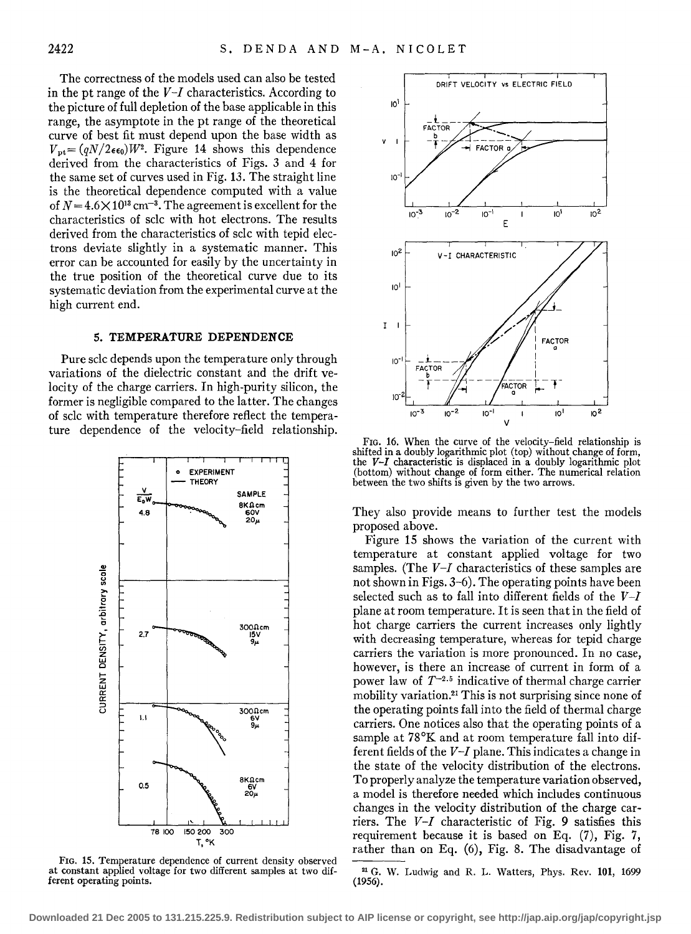The correctness of the models used can also be tested in the pt range of the *V-I* characteristics. According to the picture of full depletion of the base applicable in this range, the asymptote in the pt range of the theoretical curve of best fit must depend upon the base width as  $V_{\text{pt}} = (qN/2\epsilon\epsilon_0)W^2$ . Figure 14 shows this dependence derived from the characteristics of Figs. 3 and 4 for the same set of curves used in Fig. 13. The straight line is the theoretical dependence computed with a value of  $N = 4.6 \times 10^{13}$  cm<sup>-3</sup>. The agreement is excellent for the characteristics of sclc with hot electrons. The results derived from the characteristics of sclc with tepid electrons deviate slightly in a systematic manner. This error can be accounted for easily by the uncertainty in the true position of the theoretical curve due to its systematic deviation from the experimental curve at the high current end.

### **5. TEMPERATURE DEPENDENCE**

Pure sclc depends upon the temperature only through variations of the dielectric constant and the drift velocity of the charge carriers. In high-purity silicon, the former is negligible compared to the latter. The changes of sclc with temperature therefore reflect the temperature dependence of the velocity-field relationship.



FIG. 15. Temperature dependence of current density observed at constant applied voltage for two different samples at two dif-<br>ferent General operating points. (1956).<br>(1956). ferent operating points.



FIG. 16. When the curve of the velocity-field relationship is shifted in a doubly logarithmic plot (top) without change of form, the *V-I* characteristic is displaced in a doubly logarithmic plot (bottom) without change of form either. The numerical relation between the two shifts is given by the two arrows.

They also provide means to further test the models proposed above.

Figure 15 shows the variation of the current with temperature at constant applied voltage for two samples. (The *V-I* characteristics of these samples are not shown in Figs. 3-6). The operating points have been selected such as to fall into different fields of the *V-I*  plane at room temperature. It is seen that in the field of hot charge carriers the current increases only lightly with decreasing temperature, whereas for tepid charge carriers the variation is more pronounced. In no case, however, is there an increase of current in form of a power law of  $T^{-2.5}$  indicative of thermal charge carrier mobility variation.21 This is not surprising since none of the operating points fall into the field of thermal charge carriers. One notices also that the operating points of a sample at 78°K and at room temperature fall into different fields of the *V-I* plane. This indicates a change in the state of the velocity distribution of the electrons. To properly analyze the temperature variation observed, a model is therefore needed which includes continuous changes in the velocity distribution of the charge carriers. The *V-I* characteristic of Fig. 9 satisfies this requirement because it is based on Eq. (7), Fig. 7, rather than on Eq. (6), Fig. 8. The disadvantage of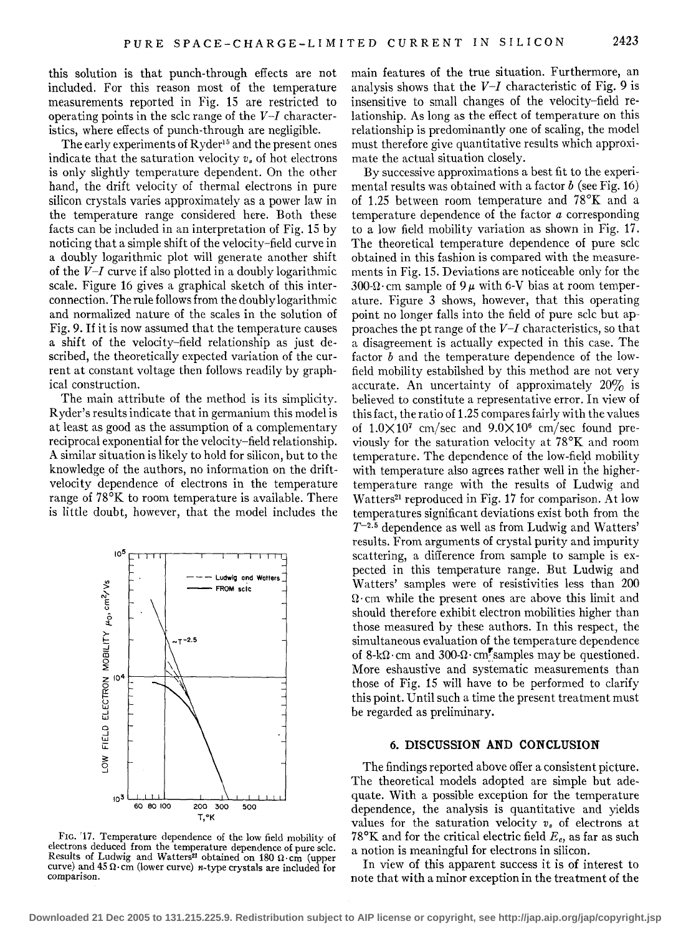this solution is that punch-through effects are not included. For this reason most of the temperature measurements reported in Fig. 15 are restricted to operating points in the sclc range of the *V-I* characteristics, where effects of punch-through are negligible.

The early experiments of Ryder<sup>15</sup> and the present ones indicate that the saturation velocity *v.* of hot electrons is only slightly temperature dependent. On the other hand, the drift velocity of thermal electrons in pure silicon crystals varies approximately as a power law in the temperature range considered here. Both these facts can be included in an interpretation of Fig. 15 by noticing that a simple shift of the velocity-field curve in a doubly logarithmic plot will generate another shift of the *V-I* curve if also plotted in a doubly logarithmic scale. Figure 16 gives a graphical sketch of this interconnection. The rule follows from the doubly logarithmic and normalized nature of the scales in the solution of Fig. 9. If it is now assumed that the temperature causes a shift of the velocity-field relationship as just described, the theoretically expected variation of the current at constant voltage then follows readily by graphical construction.

The main attribute of the method is its simplicity. Ryder's results indicate that in germanium this model is at least as good as the assumption of a complementary reciprocal exponential for the velocity-field relationship. A similar situation is likely to hold for silicon, but to the knowledge of the authors, no information on the driftvelocity dependence of electrons in the temperature range of 78°K to room temperature is available. There is little doubt, however, that the model includes the



FIG. '17. Temperature dependence of the low field mobility of electrons deduced from the temperature dependence of pure sclc. Results of Ludwig and Watters<sup>21</sup> obtained on 180  $\Omega$ ·cm (upper curve) and 45  $\Omega$  ·cm (lower curve) *n*-type crystals are included for comparison.

main features of the true situation. Furthermore, an analysis shows that the *V-I* characteristic of Fig. 9 is insensitive to small changes of the velocity-field relationship. As long as the effect of temperature on this relationship is predominantly one of scaling, the model must therefore give quantitative results which approximate the actual situation closely.

By successive approximations a best fit to the experimental results was obtained with a factor  $b$  (see Fig. 16) of 1.25 between room temperature and 78°K and a temperature dependence of the factor *a* corresponding to a low field mobility variation as shown in Fig. 17. The theoretical temperature dependence of pure sclc obtained in this fashion is compared with the measurements in Fig. 15. Deviations are noticeable only for the 300- $\Omega$ · cm sample of 9  $\mu$  with 6-V bias at room temperature. Figure 3 shows, however, that this operating point no longer falls into the field of pure sclc but approaches the pt range of the *V-I* characteristics, so that a disagreement is actually expected in this case. The factor *b* and the temperature dependence of the lowfield mobility estabilshed by this method are not very accurate. An uncertainty of approximately  $20\%$  is believed to constitute a representative error. In view of this fact, the ratio of 1.25 compares fairly with the values of  $1.0\times10^{7}$  cm/sec and  $9.0\times10^{6}$  cm/sec found previously for the saturation velocity at 78°K and room temperature. The dependence of the low-field mobility with temperature also agrees rather well in the highertemperature range with the results of Ludwig and Watters<sup>21</sup> reproduced in Fig. 17 for comparison. At low temperatures significant deviations exist both from the T-2· 5 dependence as well as from Ludwig and Watters' results. From arguments of crystal purity and impurity scattering, a difference from sample to sample is expected in this temperature range. But Ludwig and Watters' samples were of resistivities less than 200  $\Omega$ ·cm while the present ones are above this limit and should therefore exhibit electron mobilities higher than those measured by these authors. In this respect, the simultaneous evaluation of the temperature dependence of  $8-k\Omega$  cm and  $300-\Omega$  cm. samples may be questioned. More eshaustive and systematic measurements than those of Fig. 15 will have to be performed to clarify this point. Until such a time the present treatment must be regarded as preliminary.

#### **6. DISCUSSION AND CONCLUSION**

The findings reported above offer a consistent picture. The theoretical models adopted are simple but adequate. With a possible exception for the temperature dependence, the analysis is quantitative and yields values for the saturation velocity  $v_s$  of electrons at 78°K and for the critical electric field *Ec,* as far as such a notion is meaningful for electrons in silicon.

In view of this apparent success it is of interest to note that with a minor exception in the treatment of the